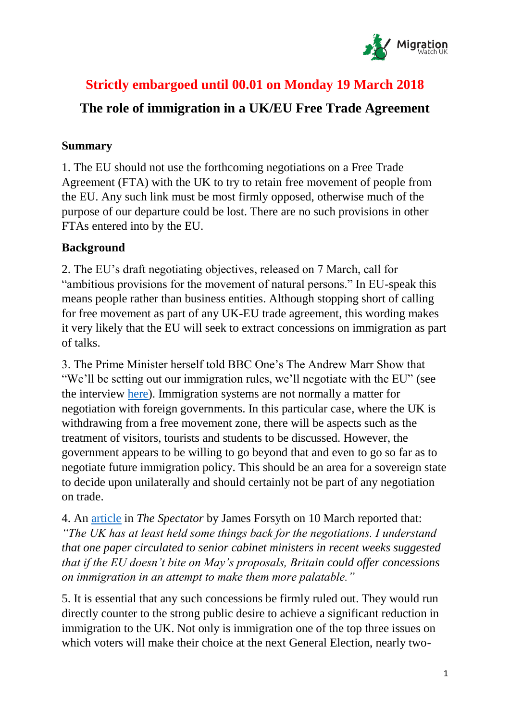

# **Strictly embargoed until 00.01 on Monday 19 March 2018**

# **The role of immigration in a UK/EU Free Trade Agreement**

#### **Summary**

1. The EU should not use the forthcoming negotiations on a Free Trade Agreement (FTA) with the UK to try to retain free movement of people from the EU. Any such link must be most firmly opposed, otherwise much of the purpose of our departure could be lost. There are no such provisions in other FTAs entered into by the EU.

# **Background**

2. The EU's draft negotiating objectives, released on 7 March, call for "ambitious provisions for the movement of natural persons." In EU-speak this means people rather than business entities. Although stopping short of calling for free movement as part of any UK-EU trade agreement, this wording makes it very likely that the EU will seek to extract concessions on immigration as part of talks.

3. The Prime Minister herself told BBC One's The Andrew Marr Show that "We'll be setting out our immigration rules, we'll negotiate with the EU" (see the interview [here\)](http://www.bbc.co.uk/programmes/p0601fdv). Immigration systems are not normally a matter for negotiation with foreign governments. In this particular case, where the UK is withdrawing from a free movement zone, there will be aspects such as the treatment of visitors, tourists and students to be discussed. However, the government appears to be willing to go beyond that and even to go so far as to negotiate future immigration policy. This should be an area for a sovereign state to decide upon unilaterally and should certainly not be part of any negotiation on trade.

4. An [article](https://www.spectator.co.uk/2018/03/the-eu-shouldnt-punish-brexit-theyd-soon-regret-it/?utm_source=Adestra&utm_medium=email&utm_content=Lunchtime_Espresso_08032018&utm_campaign=Lunchtime_Espresso) in *The Spectator* by James Forsyth on 10 March reported that: *"The UK has at least held some things back for the negotiations. I understand that one paper circulated to senior cabinet ministers in recent weeks suggested that if the EU doesn't bite on May's proposals, Britain could offer concessions on immigration in an attempt to make them more palatable."*

5. It is essential that any such concessions be firmly ruled out. They would run directly counter to the strong public desire to achieve a significant reduction in immigration to the UK. Not only is immigration one of the top three issues on which voters will make their choice at the next General Election, nearly two-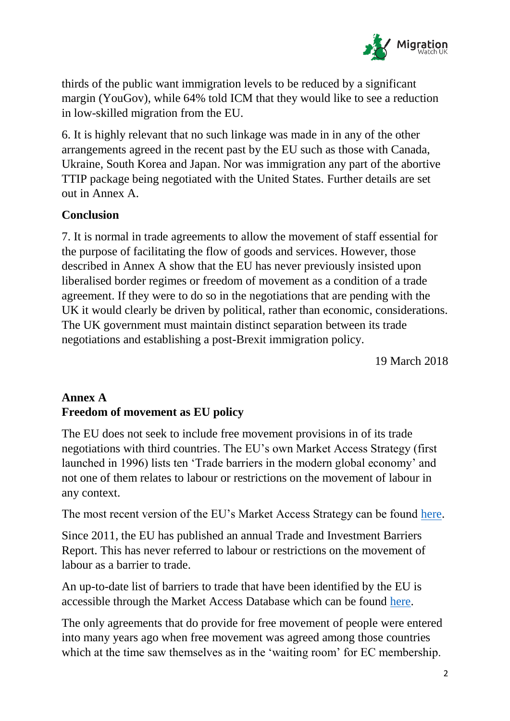

thirds of the public want immigration levels to be reduced by a significant margin (YouGov), while 64% told ICM that they would like to see a reduction in low-skilled migration from the EU.

6. It is highly relevant that no such linkage was made in in any of the other arrangements agreed in the recent past by the EU such as those with Canada, Ukraine, South Korea and Japan. Nor was immigration any part of the abortive TTIP package being negotiated with the United States. Further details are set out in Annex A.

#### **Conclusion**

7. It is normal in trade agreements to allow the movement of staff essential for the purpose of facilitating the flow of goods and services. However, those described in Annex A show that the EU has never previously insisted upon liberalised border regimes or freedom of movement as a condition of a trade agreement. If they were to do so in the negotiations that are pending with the UK it would clearly be driven by political, rather than economic, considerations. The UK government must maintain distinct separation between its trade negotiations and establishing a post-Brexit immigration policy.

19 March 2018

#### **Annex A Freedom of movement as EU policy**

The EU does not seek to include free movement provisions in of its trade negotiations with third countries. The EU's own Market Access Strategy (first launched in 1996) lists ten 'Trade barriers in the modern global economy' and not one of them relates to labour or restrictions on the movement of labour in any context.

The most recent version of the EU's Market Access Strategy can be found [here.](http://trade.ec.europa.eu/doclib/docs/2007/april/tradoc_134591.pdf)

Since 2011, the EU has published an annual Trade and Investment Barriers Report. This has never referred to labour or restrictions on the movement of labour as a barrier to trade.

An up-to-date list of barriers to trade that have been identified by the EU is accessible through the Market Access Database which can be found [here.](http://madb.europa.eu/madb/indexPubli.htm)

The only agreements that do provide for free movement of people were entered into many years ago when free movement was agreed among those countries which at the time saw themselves as in the 'waiting room' for EC membership.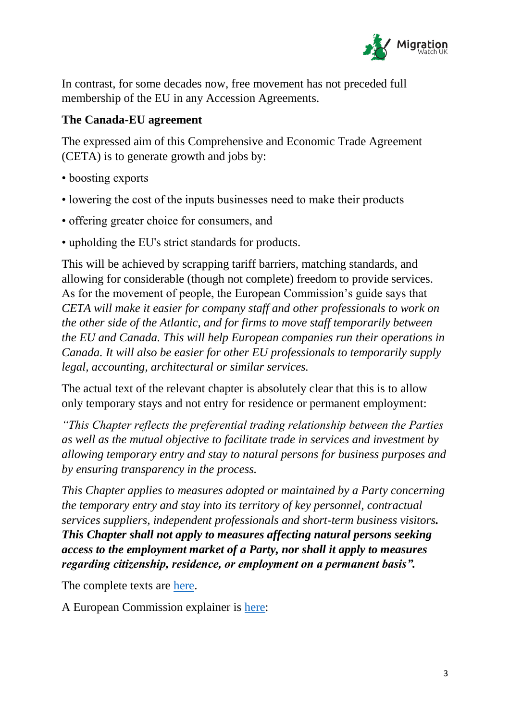

In contrast, for some decades now, free movement has not preceded full membership of the EU in any Accession Agreements.

### **The Canada-EU agreement**

The expressed aim of this Comprehensive and Economic Trade Agreement (CETA) is to generate growth and jobs by:

- boosting exports
- lowering the cost of the inputs businesses need to make their products
- offering greater choice for consumers, and
- upholding the EU's strict standards for products.

This will be achieved by scrapping tariff barriers, matching standards, and allowing for considerable (though not complete) freedom to provide services. As for the movement of people, the European Commission's guide says that *CETA will make it easier for company staff and other professionals to work on the other side of the Atlantic, and for firms to move staff temporarily between the EU and Canada. This will help European companies run their operations in Canada. It will also be easier for other EU professionals to temporarily supply legal, accounting, architectural or similar services.*

The actual text of the relevant chapter is absolutely clear that this is to allow only temporary stays and not entry for residence or permanent employment:

*"This Chapter reflects the preferential trading relationship between the Parties as well as the mutual objective to facilitate trade in services and investment by allowing temporary entry and stay to natural persons for business purposes and by ensuring transparency in the process.*

*This Chapter applies to measures adopted or maintained by a Party concerning the temporary entry and stay into its territory of key personnel, contractual services suppliers, independent professionals and short-term business visitors. This Chapter shall not apply to measures affecting natural persons seeking access to the employment market of a Party, nor shall it apply to measures regarding citizenship, residence, or employment on a permanent basis".*

The complete texts are [here.](http://ec.europa.eu/trade/policy/in-focus/ceta/ceta-chapter-by-chapter/)

A European Commission explainer is [here:](http://trade.ec.europa.eu/doclib/docs/2016/july/tradoc_154775.pdf)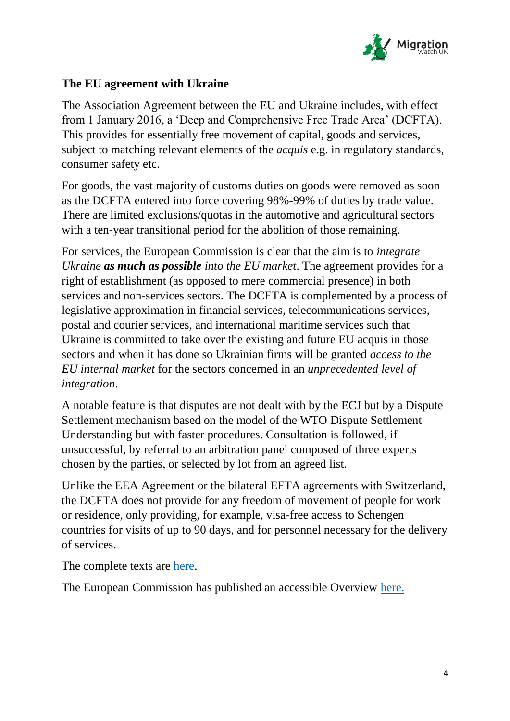

### **The EU agreement with Ukraine**

The Association Agreement between the EU and Ukraine includes, with effect from 1 January 2016, a 'Deep and Comprehensive Free Trade Area' (DCFTA). This provides for essentially free movement of capital, goods and services, subject to matching relevant elements of the *acquis* e.g. in regulatory standards, consumer safety etc.

For goods, the vast majority of customs duties on goods were removed as soon as the DCFTA entered into force covering 98%-99% of duties by trade value. There are limited exclusions/quotas in the automotive and agricultural sectors with a ten-year transitional period for the abolition of those remaining.

For services, the European Commission is clear that the aim is to *integrate Ukraine as much as possible into the EU market*. The agreement provides for a right of establishment (as opposed to mere commercial presence) in both services and non-services sectors. The DCFTA is complemented by a process of legislative approximation in financial services, telecommunications services, postal and courier services, and international maritime services such that Ukraine is committed to take over the existing and future EU acquis in those sectors and when it has done so Ukrainian firms will be granted *access to the EU internal market* for the sectors concerned in an *unprecedented level of integration*.

A notable feature is that disputes are not dealt with by the ECJ but by a Dispute Settlement mechanism based on the model of the WTO Dispute Settlement Understanding but with faster procedures. Consultation is followed, if unsuccessful, by referral to an arbitration panel composed of three experts chosen by the parties, or selected by lot from an agreed list.

Unlike the EEA Agreement or the bilateral EFTA agreements with Switzerland, the DCFTA does not provide for any freedom of movement of people for work or residence, only providing, for example, visa-free access to Schengen countries for visits of up to 90 days, and for personnel necessary for the delivery of services.

The complete texts are [here.](http://ukraine-eu.mfa.gov.ua/en/page/open/id/2900)

The European Commission has published an accessible Overview [here.](http://trade.ec.europa.eu/doclib/docs/2013/april/tradoc_150981.pdf)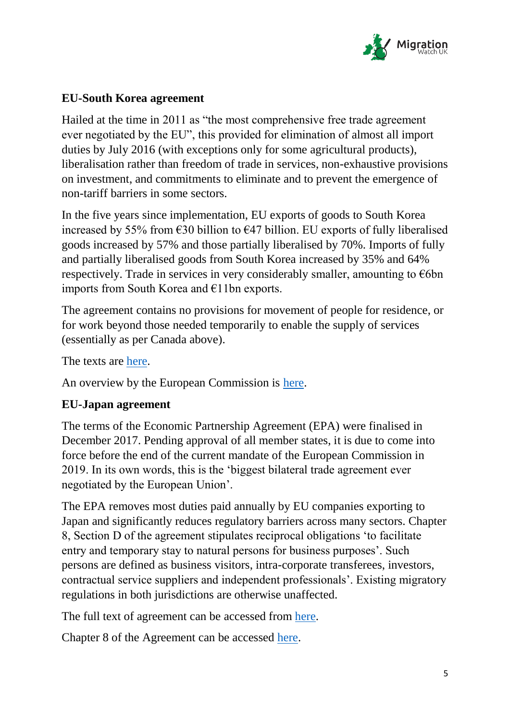

## **EU-South Korea agreement**

Hailed at the time in 2011 as "the most comprehensive free trade agreement ever negotiated by the EU", this provided for elimination of almost all import duties by July 2016 (with exceptions only for some agricultural products), liberalisation rather than freedom of trade in services, non-exhaustive provisions on investment, and commitments to eliminate and to prevent the emergence of non-tariff barriers in some sectors.

In the five years since implementation, EU exports of goods to South Korea increased by 55% from  $\epsilon$ 30 billion to  $\epsilon$ 47 billion. EU exports of fully liberalised goods increased by 57% and those partially liberalised by 70%. Imports of fully and partially liberalised goods from South Korea increased by 35% and 64% respectively. Trade in services in very considerably smaller, amounting to  $\epsilon$ 6bn imports from South Korea and €11bn exports.

The agreement contains no provisions for movement of people for residence, or for work beyond those needed temporarily to enable the supply of services (essentially as per Canada above).

The texts are [here.](http://eur-lex.europa.eu/legal-content/en/ALL/?uri=OJ%3AL%3A2011%3A127%3ATOC)

An overview by the European Commission is [here.](http://ec.europa.eu/trade/policy/countries-and-regions/countries/south-korea/index_en.htm)

### **EU-Japan agreement**

The terms of the Economic Partnership Agreement (EPA) were finalised in December 2017. Pending approval of all member states, it is due to come into force before the end of the current mandate of the European Commission in 2019. In its own words, this is the 'biggest bilateral trade agreement ever negotiated by the European Union'.

The EPA removes most duties paid annually by EU companies exporting to Japan and significantly reduces regulatory barriers across many sectors. Chapter 8, Section D of the agreement stipulates reciprocal obligations 'to facilitate entry and temporary stay to natural persons for business purposes'. Such persons are defined as business visitors, intra-corporate transferees, investors, contractual service suppliers and independent professionals'. Existing migratory regulations in both jurisdictions are otherwise unaffected.

The full text of agreement can be accessed from [here.](http://trade.ec.europa.eu/doclib/press/index.cfm?id=1684)

Chapter 8 of the Agreement can be accessed [here.](http://trade.ec.europa.eu/doclib/docs/2017/december/tradoc_156434.D%20EU_JPN_FTA_Services_Mode_4_171205_Limited.pdf)